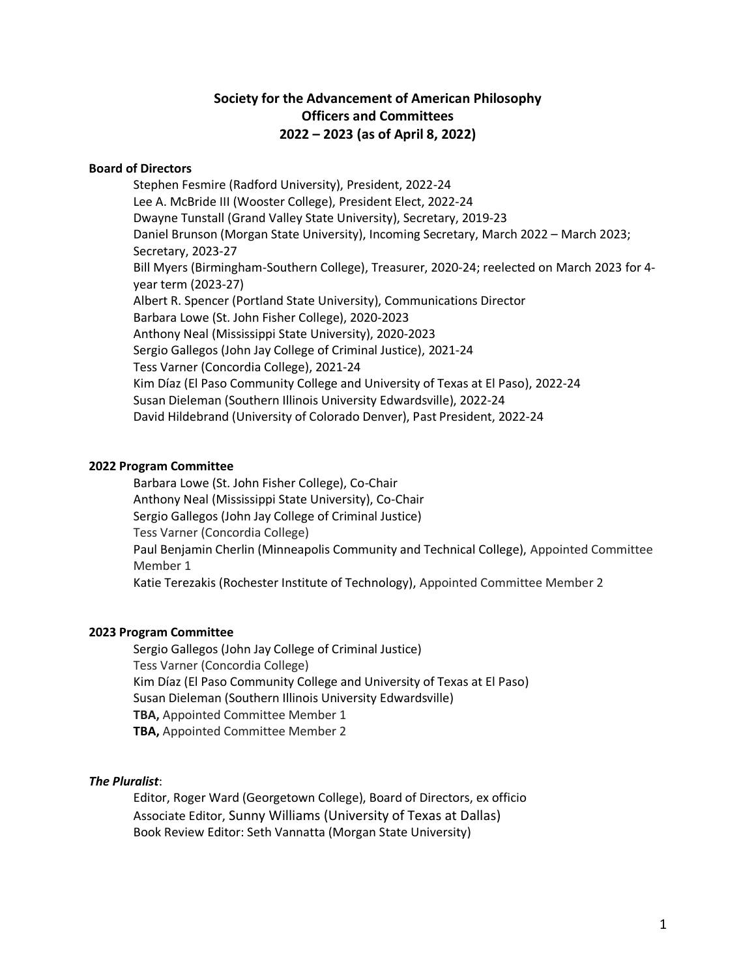## **Society for the Advancement of American Philosophy Officers and Committees 2022 – 2023 (as of April 8, 2022)**

### **Board of Directors**

Stephen Fesmire (Radford University), President, 2022-24 Lee A. McBride III (Wooster College), President Elect, 2022-24 Dwayne Tunstall (Grand Valley State University), Secretary, 2019-23 Daniel Brunson (Morgan State University), Incoming Secretary, March 2022 – March 2023; Secretary, 2023-27 Bill Myers (Birmingham-Southern College), Treasurer, 2020-24; reelected on March 2023 for 4 year term (2023-27) Albert R. Spencer (Portland State University), Communications Director Barbara Lowe (St. John Fisher College), 2020-2023 Anthony Neal (Mississippi State University), 2020-2023 Sergio Gallegos (John Jay College of Criminal Justice), 2021-24 Tess Varner (Concordia College), 2021-24 Kim Díaz (El Paso Community College and University of Texas at El Paso), 2022-24 Susan Dieleman (Southern Illinois University Edwardsville), 2022-24 David Hildebrand (University of Colorado Denver), Past President, 2022-24

### **2022 Program Committee**

Barbara Lowe (St. John Fisher College), Co-Chair Anthony Neal (Mississippi State University), Co-Chair Sergio Gallegos (John Jay College of Criminal Justice) Tess Varner (Concordia College) Paul Benjamin Cherlin (Minneapolis Community and Technical College), Appointed Committee Member 1 Katie Terezakis (Rochester Institute of Technology), Appointed Committee Member 2

### **2023 Program Committee**

Sergio Gallegos (John Jay College of Criminal Justice) Tess Varner (Concordia College) Kim Díaz (El Paso Community College and University of Texas at El Paso) Susan Dieleman (Southern Illinois University Edwardsville) **TBA,** Appointed Committee Member 1 **TBA,** Appointed Committee Member 2

### *The Pluralist*:

Editor, Roger Ward (Georgetown College), Board of Directors, ex officio Associate Editor, Sunny Williams (University of Texas at Dallas) Book Review Editor: Seth Vannatta (Morgan State University)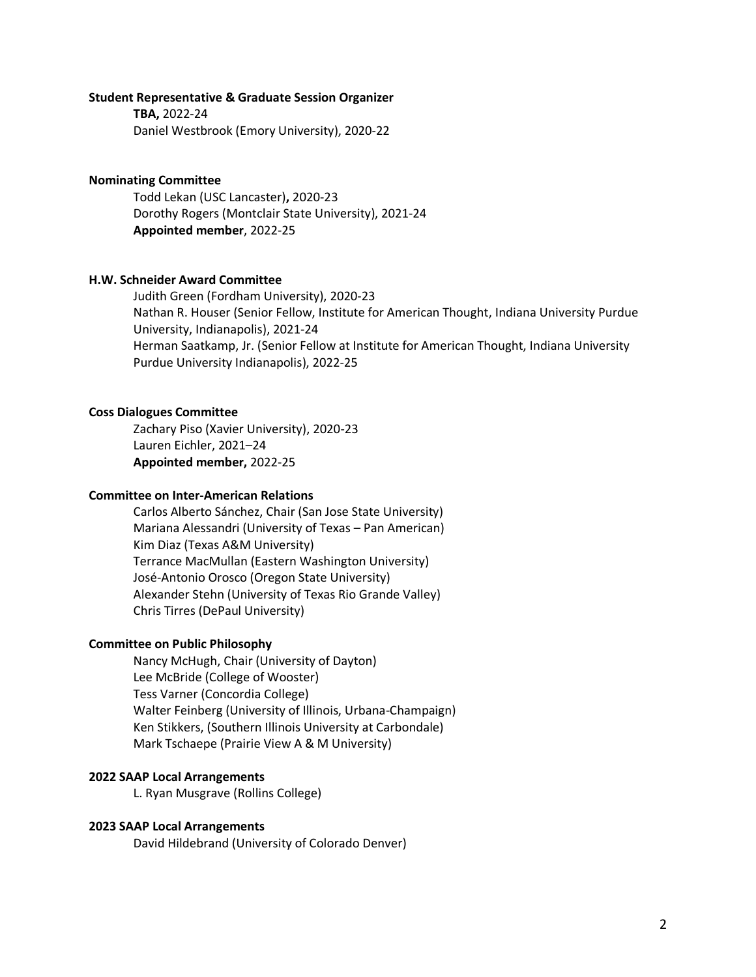#### **Student Representative & Graduate Session Organizer**

**TBA,** 2022-24 Daniel Westbrook (Emory University), 2020-22

### **Nominating Committee**

Todd Lekan (USC Lancaster)**,** 2020-23 Dorothy Rogers (Montclair State University), 2021-24 **Appointed member**, 2022-25

### **H.W. Schneider Award Committee**

Judith Green (Fordham University), 2020-23 Nathan R. Houser (Senior Fellow, Institute for American Thought, Indiana University Purdue University, Indianapolis), 2021-24 Herman Saatkamp, Jr. (Senior Fellow at Institute for American Thought, Indiana University Purdue University Indianapolis), 2022-25

### **Coss Dialogues Committee**

Zachary Piso (Xavier University), 2020-23 Lauren Eichler, 2021–24 **Appointed member,** 2022-25

### **Committee on Inter-American Relations**

Carlos Alberto Sánchez, Chair (San Jose State University) Mariana Alessandri (University of Texas – Pan American) Kim Diaz (Texas A&M University) Terrance MacMullan (Eastern Washington University) José-Antonio Orosco (Oregon State University) Alexander Stehn (University of Texas Rio Grande Valley) Chris Tirres (DePaul University)

#### **Committee on Public Philosophy**

Nancy McHugh, Chair (University of Dayton) Lee McBride (College of Wooster) Tess Varner (Concordia College) Walter Feinberg (University of Illinois, Urbana-Champaign) Ken Stikkers, (Southern Illinois University at Carbondale) Mark Tschaepe (Prairie View A & M University)

### **2022 SAAP Local Arrangements**

L. Ryan Musgrave (Rollins College)

### **2023 SAAP Local Arrangements**

David Hildebrand (University of Colorado Denver)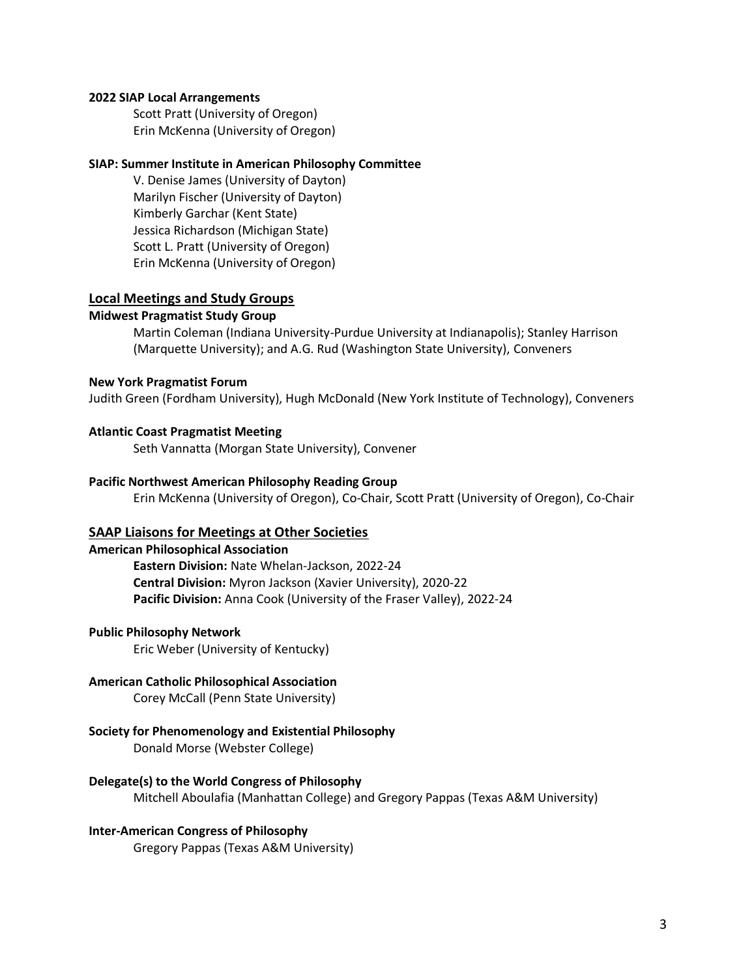### **2022 SIAP Local Arrangements**

Scott Pratt (University of Oregon) Erin McKenna (University of Oregon)

### **SIAP: Summer Institute in American Philosophy Committee**

V. Denise James (University of Dayton) Marilyn Fischer (University of Dayton) Kimberly Garchar (Kent State) Jessica Richardson (Michigan State) Scott L. Pratt (University of Oregon) Erin McKenna (University of Oregon)

### **Local Meetings and Study Groups**

### **Midwest Pragmatist Study Group**

Martin Coleman (Indiana University-Purdue University at Indianapolis); Stanley Harrison (Marquette University); and A.G. Rud (Washington State University), Conveners

### **New York Pragmatist Forum**

Judith Green (Fordham University), Hugh McDonald (New York Institute of Technology), Conveners

#### **Atlantic Coast Pragmatist Meeting**

Seth Vannatta (Morgan State University), Convener

### **Pacific Northwest American Philosophy Reading Group**

Erin McKenna (University of Oregon), Co-Chair, Scott Pratt (University of Oregon), Co-Chair

### **SAAP Liaisons for Meetings at Other Societies**

### **American Philosophical Association**

**Eastern Division:** Nate Whelan-Jackson, 2022-24 **Central Division:** Myron Jackson (Xavier University), 2020-22 **Pacific Division:** Anna Cook (University of the Fraser Valley), 2022-24

#### **Public Philosophy Network**

Eric Weber (University of Kentucky)

### **American Catholic Philosophical Association**

Corey McCall (Penn State University)

### **Society for Phenomenology and Existential Philosophy**

Donald Morse (Webster College)

### **Delegate(s) to the World Congress of Philosophy**

Mitchell Aboulafia (Manhattan College) and Gregory Pappas (Texas A&M University)

### **Inter-American Congress of Philosophy**

Gregory Pappas (Texas A&M University)